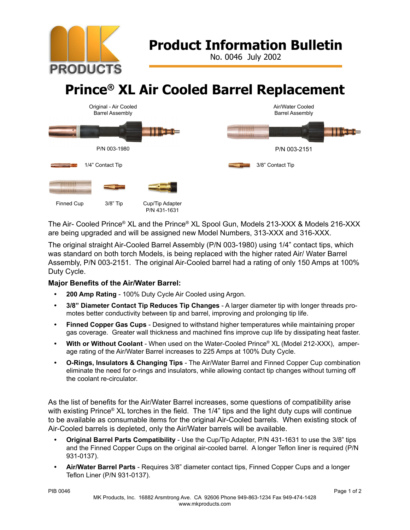

## **Product Information Bulletin**

No. 0046 July 2002

# **Prince® XL Air Cooled Barrel Replacement**



The Air- Cooled Prince® XL and the Prince® XL Spool Gun, Models 213-XXX & Models 216-XXX are being upgraded and will be assigned new Model Numbers, 313-XXX and 316-XXX.

The original straight Air-Cooled Barrel Assembly (P/N 003-1980) using 1/4" contact tips, which was standard on both torch Models, is being replaced with the higher rated Air/ Water Barrel Assembly, P/N 003-2151. The original Air-Cooled barrel had a rating of only 150 Amps at 100% Duty Cycle.

### **Major Benefits of the Air/Water Barrel:**

- **• 200 Amp Rating** 100% Duty Cycle Air Cooled using Argon.
- **• 3/8" Diameter Contact Tip Reduces Tip Changes** A larger diameter tip with longer threads promotes better conductivity between tip and barrel, improving and prolonging tip life.
- **• Finned Copper Gas Cups** Designed to withstand higher temperatures while maintaining proper gas coverage. Greater wall thickness and machined fins improve cup life by dissipating heat faster.
- **• With or Without Coolant** When used on the Water-Cooled Prince® XL (Model 212-XXX), amperage rating of the Air/Water Barrel increases to 225 Amps at 100% Duty Cycle.
- **• O-Rings, Insulators & Changing Tips** The Air/Water Barrel and Finned Copper Cup combination eliminate the need for o-rings and insulators, while allowing contact tip changes without turning off the coolant re-circulator.

As the list of benefits for the Air/Water Barrel increases, some questions of compatibility arise with existing Prince<sup>®</sup> XL torches in the field. The 1/4" tips and the light duty cups will continue to be available as consumable items for the original Air-Cooled barrels. When existing stock of Air-Cooled barrels is depleted, only the Air/Water barrels will be available.

- **• Original Barrel Parts Compatibility** Use the Cup/Tip Adapter, P/N 431-1631 to use the 3/8" tips and the Finned Copper Cups on the original air-cooled barrel. A longer Teflon liner is required (P/N 931-0137).
- **• Air/Water Barrel Parts** Requires 3/8" diameter contact tips, Finned Copper Cups and a longer Teflon Liner (P/N 931-0137).